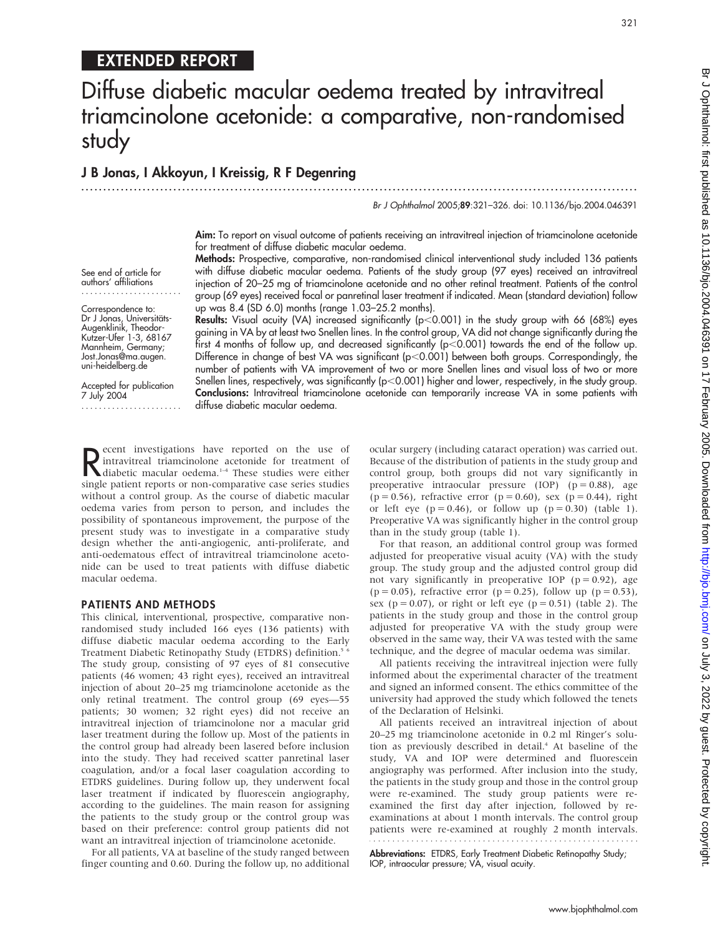## EXTENDED REPORT

# Diffuse diabetic macular oedema treated by intravitreal triamcinolone acetonide: a comparative, non-randomised study

#### J B Jonas, I Akkoyun, I Kreissig, R F Degenring ...............................................................................................................................

Br J Ophthalmol 2005;89:321–326. doi: 10.1136/bjo.2004.046391

321

Aim: To report on visual outcome of patients receiving an intravitreal injection of triamcinolone acetonide for treatment of diffuse diabetic macular oedema.

See end of article for authors' affiliations .......................

Correspondence to: Dr J Jonas, Universitäts-Augenklinik, Theodor-Kutzer-Ufer 1-3, 68167 Mannheim, Germany; Jost.Jonas@ma.augen. uni-heidelberg.de

Accepted for publication 7 July 2004 ....................... Methods: Prospective, comparative, non-randomised clinical interventional study included 136 patients with diffuse diabetic macular oedema. Patients of the study group (97 eyes) received an intravitreal injection of 20–25 mg of triamcinolone acetonide and no other retinal treatment. Patients of the control group (69 eyes) received focal or panretinal laser treatment if indicated. Mean (standard deviation) follow up was 8.4 (SD 6.0) months (range 1.03–25.2 months).

Results: Visual acuity (VA) increased significantly ( $p$ <0.001) in the study group with 66 (68%) eyes gaining in VA by at least two Snellen lines. In the control group, VA did not change significantly during the first 4 months of follow up, and decreased significantly ( $p<0.001$ ) towards the end of the follow up. Difference in change of best VA was significant (p<0.001) between both groups. Correspondingly, the number of patients with VA improvement of two or more Snellen lines and visual loss of two or more Snellen lines, respectively, was significantly ( $p<0.001$ ) higher and lower, respectively, in the study group. Conclusions: Intravitreal triamcinolone acetonide can temporarily increase VA in some patients with diffuse diabetic macular oedema.

Recent investigations have reported on the use of<br>
diabetic macular oedema.<sup>1-4</sup> These studies were either<br>
single patient reports or non comparative case series studies intravitreal triamcinolone acetonide for treatment of diabetic macular oedema.<sup>1-4</sup> These studies were either single patient reports or non-comparative case series studies without a control group. As the course of diabetic macular oedema varies from person to person, and includes the possibility of spontaneous improvement, the purpose of the present study was to investigate in a comparative study design whether the anti-angiogenic, anti-proliferate, and anti-oedematous effect of intravitreal triamcinolone acetonide can be used to treat patients with diffuse diabetic macular oedema.

#### PATIENTS AND METHODS

This clinical, interventional, prospective, comparative nonrandomised study included 166 eyes (136 patients) with diffuse diabetic macular oedema according to the Early Treatment Diabetic Retinopathy Study (ETDRS) definition.<sup>5</sup> <sup>6</sup> The study group, consisting of 97 eyes of 81 consecutive patients (46 women; 43 right eyes), received an intravitreal injection of about 20–25 mg triamcinolone acetonide as the only retinal treatment. The control group (69 eyes—55 patients; 30 women; 32 right eyes) did not receive an intravitreal injection of triamcinolone nor a macular grid laser treatment during the follow up. Most of the patients in the control group had already been lasered before inclusion into the study. They had received scatter panretinal laser coagulation, and/or a focal laser coagulation according to ETDRS guidelines. During follow up, they underwent focal laser treatment if indicated by fluorescein angiography, according to the guidelines. The main reason for assigning the patients to the study group or the control group was based on their preference: control group patients did not want an intravitreal injection of triamcinolone acetonide.

For all patients, VA at baseline of the study ranged between finger counting and 0.60. During the follow up, no additional ocular surgery (including cataract operation) was carried out. Because of the distribution of patients in the study group and control group, both groups did not vary significantly in preoperative intraocular pressure (IOP)  $(p = 0.88)$ , age  $(p = 0.56)$ , refractive error  $(p = 0.60)$ , sex  $(p = 0.44)$ , right or left eye ( $p = 0.46$ ), or follow up ( $p = 0.30$ ) (table 1). Preoperative VA was significantly higher in the control group than in the study group (table 1).

For that reason, an additional control group was formed adjusted for preoperative visual acuity (VA) with the study group. The study group and the adjusted control group did not vary significantly in preoperative IOP ( $p = 0.92$ ), age (p = 0.05), refractive error (p = 0.25), follow up (p = 0.53), sex ( $p = 0.07$ ), or right or left eye ( $p = 0.51$ ) (table 2). The patients in the study group and those in the control group adjusted for preoperative VA with the study group were observed in the same way, their VA was tested with the same technique, and the degree of macular oedema was similar.

All patients receiving the intravitreal injection were fully informed about the experimental character of the treatment and signed an informed consent. The ethics committee of the university had approved the study which followed the tenets of the Declaration of Helsinki.

All patients received an intravitreal injection of about 20–25 mg triamcinolone acetonide in 0.2 ml Ringer's solution as previously described in detail.<sup>4</sup> At baseline of the study, VA and IOP were determined and fluorescein angiography was performed. After inclusion into the study, the patients in the study group and those in the control group were re-examined. The study group patients were reexamined the first day after injection, followed by reexaminations at about 1 month intervals. The control group patients were re-examined at roughly 2 month intervals. 

Abbreviations: ETDRS, Early Treatment Diabetic Retinopathy Study; IOP, intraocular pressure; VA, visual acuity.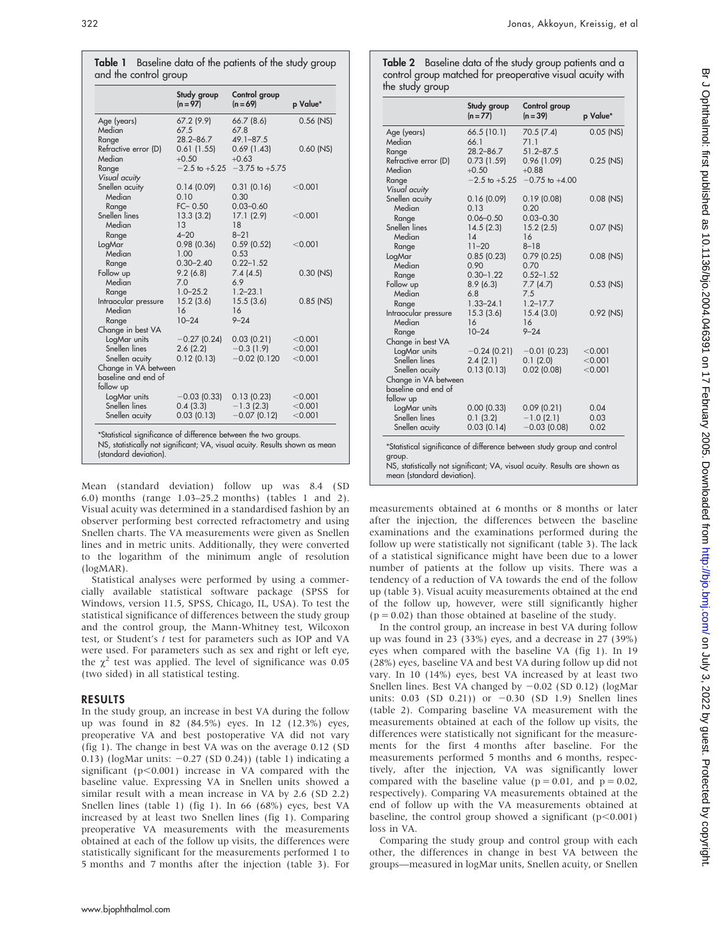| J                                                                                                                    |
|----------------------------------------------------------------------------------------------------------------------|
|                                                                                                                      |
|                                                                                                                      |
|                                                                                                                      |
|                                                                                                                      |
|                                                                                                                      |
|                                                                                                                      |
|                                                                                                                      |
| s<br>s<br>                                                                                                           |
|                                                                                                                      |
|                                                                                                                      |
| ֧֧֧֧֧֧֧֧֚֚֚֚֚֚֚֚֚֚֚֚֚֚֚֚֚֚֚֚֚֚֚֚֚֡֝֓֝֬֝֓֝֬֝֬֜֓                                                                       |
| .<br>222<br>222                                                                                                      |
|                                                                                                                      |
| こうこう                                                                                                                 |
| $\overline{\phantom{a}}$                                                                                             |
| j<br>٦                                                                                                               |
| <b>. 1 2 2 3 3 4 2 3 4 2 3 4 2 3 4 2 3 4 2 3 4 2 3 4 2 3 4 2 3 4 2 3 4 2 3 4 2 3 4 2 3 4 2 3 4 2 3 4 2 3 4 2 3 4</b> |
|                                                                                                                      |
| -<br>-<br>-<br>)<br>)<br>                                                                                            |
| :<br>:<br>:                                                                                                          |
|                                                                                                                      |
|                                                                                                                      |
|                                                                                                                      |
|                                                                                                                      |
| ì                                                                                                                    |
| $\frac{5}{2}$<br>$\frac{1}{3}$                                                                                       |
|                                                                                                                      |
|                                                                                                                      |
|                                                                                                                      |
|                                                                                                                      |
|                                                                                                                      |
|                                                                                                                      |
|                                                                                                                      |
|                                                                                                                      |
|                                                                                                                      |
|                                                                                                                      |
|                                                                                                                      |
|                                                                                                                      |
|                                                                                                                      |
|                                                                                                                      |

|                      | Study group<br>$(n = 97)$ | Control group<br>$(n = 69)$          | p Value*    |
|----------------------|---------------------------|--------------------------------------|-------------|
| Age (years)          | 67.2(9.9)                 | 66.7(8.6)                            | $0.56$ (NS) |
| Median               | 67.5                      | 67.8                                 |             |
| Range                | $28.2 - 86.7$             | $49.1 - 87.5$                        |             |
| Refractive error (D) | 0.61(1.55)                | 0.69(1.43)                           | $0.60$ (NS) |
| Median               | $+0.50$                   | $+0.63$                              |             |
| Range                |                           | $-2.5$ to $+5.25$ $-3.75$ to $+5.75$ |             |
| Visual acuity        |                           |                                      |             |
| Snellen acuity       | 0.14(0.09)                | 0.31(0.16)                           | < 0.001     |
| Median               | 0.10                      | 0.30                                 |             |
| Range                | $FC - 0.50$               | $0.03 - 0.60$                        |             |
| Snellen lines        | 13.3(3.2)                 | 17.1(2.9)                            | < 0.001     |
| Median               | 13                        | 18                                   |             |
| Range                | $4 - 20$                  | $8 - 21$                             |             |
| LogMar               | 0.98(0.36)                | 0.59(0.52)                           | < 0.001     |
| Median               | 1.00                      | 0.53                                 |             |
| Range                | $0.30 - 2.40$             | $0.22 - 1.52$                        |             |
| Follow up            | 9.2(6.8)                  | 7.4(4.5)                             | $0.30$ (NS) |
| Median               | 7.0                       | 6.9                                  |             |
| Range                | $1.0 - 25.2$              | $1.2 - 23.1$                         |             |
| Intraocular pressure | 15.2(3.6)                 | 15.5(3.6)                            | $0.85$ (NS) |
| Median               | 16                        | 16                                   |             |
| Range                | $10 - 24$                 | $9 - 24$                             |             |
| Change in best VA    |                           |                                      |             |
| LogMar units         | $-0.27(0.24)$             | 0.03(0.21)                           | < 0.001     |
| Snellen lines        | 2.6(2.2)                  | $-0.3(1.9)$                          | < 0.001     |
| Snellen acuity       | 0.12(0.13)                | $-0.02$ (0.120                       | < 0.001     |

\*Statistical significance of difference between the two groups. NS, statistically not significant; VA, visual acuity. Results shown as mean (standard deviation).

 $LogMar units$   $-0.03 (0.33)$   $0.13 (0.23)$   $< 0.001$ <br>  $Snellen lines$   $0.4 (3.3)$   $-1.3 (2.3)$   $< 0.001$ Snellen lines 0.4 (3.3) - 1.3 (2.3) < 0.001<br>Snellen acuity 0.03 (0.13) - 0.07 (0.12) < 0.001

Change in VA between baseline and end of follow up

Snellen acuity

Mean (standard deviation) follow up was 8.4 (SD 6.0) months (range 1.03–25.2 months) (tables 1 and 2). Visual acuity was determined in a standardised fashion by an observer performing best corrected refractometry and using Snellen charts. The VA measurements were given as Snellen lines and in metric units. Additionally, they were converted to the logarithm of the minimum angle of resolution (logMAR).

Statistical analyses were performed by using a commercially available statistical software package (SPSS for Windows, version 11.5, SPSS, Chicago, IL, USA). To test the statistical significance of differences between the study group and the control group, the Mann-Whitney test, Wilcoxon test, or Student's t test for parameters such as IOP and VA were used. For parameters such as sex and right or left eye, the  $\chi^2$  test was applied. The level of significance was 0.05 (two sided) in all statistical testing.

#### RESULTS

In the study group, an increase in best VA during the follow up was found in 82 (84.5%) eyes. In 12 (12.3%) eyes, preoperative VA and best postoperative VA did not vary (fig 1). The change in best VA was on the average 0.12 (SD 0.13) (logMar units:  $-0.27$  (SD 0.24)) (table 1) indicating a significant ( $p<0.001$ ) increase in VA compared with the baseline value. Expressing VA in Snellen units showed a similar result with a mean increase in VA by 2.6 (SD 2.2) Snellen lines (table 1) (fig 1). In 66 (68%) eyes, best VA increased by at least two Snellen lines (fig 1). Comparing preoperative VA measurements with the measurements obtained at each of the follow up visits, the differences were statistically significant for the measurements performed 1 to 5 months and 7 months after the injection (table 3). For Table 2 Baseline data of the study group patients and a control group matched for preoperative visual acuity with the study group

|                                | Study group<br>$(n = 77)$ | Control group<br>$(n = 39)$ | p Value*    |
|--------------------------------|---------------------------|-----------------------------|-------------|
| Age (years)<br>Median          | 66.5 (10.1)<br>66.1       | 70.5 (7.4)<br>71.1          | $0.05$ (NS) |
| Range                          | $28.2 - 86.7$             | $51.2 - 87.5$               |             |
| Refractive error (D)<br>Median | 0.73(1.59)<br>$+0.50$     | 0.96(1.09)<br>$+0.88$       | $0.25$ (NS) |
| Range                          | $-2.5$ to $+5.25$         | $-0.75$ to $+4.00$          |             |
| Visual acuity                  |                           |                             |             |
| Snellen acuity                 | 0.16(0.09)                | 0.19(0.08)                  | 0.08 (NS)   |
| Median                         | 0.13                      | 0.20                        |             |
| Range                          | $0.06 - 0.50$             | $0.03 - 0.30$               |             |
| Snellen lines                  | 14.5(2.3)                 | 15.2(2.5)                   | 0.07 (NS)   |
| Median                         | 14                        | 16                          |             |
| Range                          | $11 - 20$                 | $8 - 18$                    |             |
| LogMar                         | 0.85(0.23)                | 0.79(0.25)                  | $0.08$ (NS) |
| Median                         | 0.90                      | 0.70                        |             |
| Range                          | $0.30 - 1.22$             | $0.52 - 1.52$               |             |
| Follow up                      | 8.9(6.3)                  | 7.7(4.7)                    | $0.53$ (NS) |
| Median                         | 6.8                       | 7.5                         |             |
| Range                          | $1.33 - 24.1$             | $1.2 - 17.7$<br>15.4(3.0)   | 0.92 (NS)   |
| Intraocular pressure<br>Median | 15.3(3.6)<br>16           | 16                          |             |
| Range                          | $10 - 24$                 | $9 - 24$                    |             |
| Change in best VA              |                           |                             |             |
| LogMar units                   | $-0.24(0.21)$             | $-0.01$ (0.23)              | < 0.001     |
| Snellen lines                  | 2.4(2.1)                  | 0.1(2.0)                    | < 0.001     |
| Snellen acuity                 | 0.13(0.13)                | $0.02$ (0.08)               | < 0.001     |
| Change in VA between           |                           |                             |             |
| baseline and end of            |                           |                             |             |
| follow up                      |                           |                             |             |
| LogMar units                   | 0.00(0.33)                | 0.09(0.21)                  | 0.04        |
| Snellen lines                  | 0.1(3.2)                  | $-1.0(2.1)$                 | 0.03        |
| Snellen acuity                 | 0.03(0.14)                | $-0.03$ (0.08)              | 0.02        |

measurements obtained at 6 months or 8 months or later after the injection, the differences between the baseline examinations and the examinations performed during the follow up were statistically not significant (table 3). The lack of a statistical significance might have been due to a lower number of patients at the follow up visits. There was a tendency of a reduction of VA towards the end of the follow up (table 3). Visual acuity measurements obtained at the end of the follow up, however, were still significantly higher  $(p = 0.02)$  than those obtained at baseline of the study.

In the control group, an increase in best VA during follow up was found in 23 (33%) eyes, and a decrease in 27 (39%) eyes when compared with the baseline VA (fig 1). In 19 (28%) eyes, baseline VA and best VA during follow up did not vary. In 10 (14%) eyes, best VA increased by at least two Snellen lines. Best VA changed by  $-0.02$  (SD 0.12) (logMar units:  $0.03$  (SD  $0.21$ )) or  $-0.30$  (SD 1.9) Snellen lines (table 2). Comparing baseline VA measurement with the measurements obtained at each of the follow up visits, the differences were statistically not significant for the measurements for the first 4 months after baseline. For the measurements performed 5 months and 6 months, respectively, after the injection, VA was significantly lower compared with the baseline value ( $p = 0.01$ , and  $p = 0.02$ , respectively). Comparing VA measurements obtained at the end of follow up with the VA measurements obtained at baseline, the control group showed a significant  $(p<0.001)$ loss in VA.

Comparing the study group and control group with each other, the differences in change in best VA between the groups—measured in logMar units, Snellen acuity, or Snellen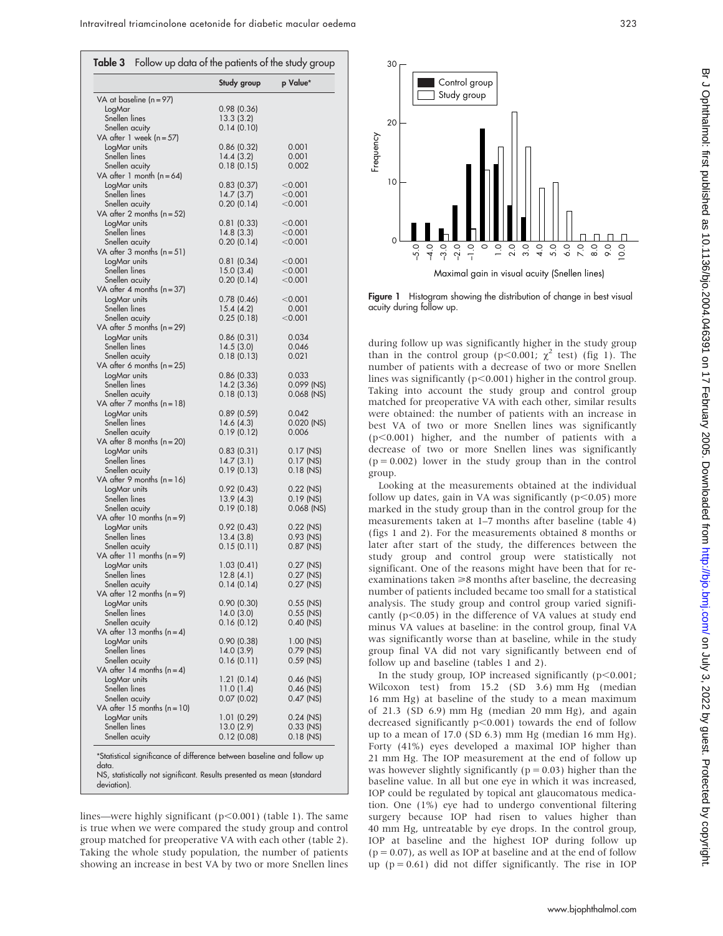|                                                                        | Study group             | p Value*               |
|------------------------------------------------------------------------|-------------------------|------------------------|
| VA at baseline ( $n = 97$ )                                            |                         |                        |
| LogMar                                                                 | 0.98(0.36)              |                        |
| Snellen lines                                                          | 13.3(3.2)<br>0.14(0.10) |                        |
| Snellen acuity<br>VA after 1 week (n=57)                               |                         |                        |
| LogMar units                                                           | 0.86(0.32)              | 0.001                  |
| Snellen lines                                                          | 14.4(3.2)               | 0.001                  |
| Snellen acuity                                                         | 0.18(0.15)              | 0.002                  |
| VA after 1 month ( $n = 64$ )                                          |                         |                        |
| LogMar units<br>Snellen lines                                          | 0.83(0.37)              | < 0.001                |
| Snellen acuity                                                         | 14.7(3.7)<br>0.20(0.14) | $<$ 0.001<br>$<$ 0.001 |
| VA after 2 months (n=52)                                               |                         |                        |
| LogMar units                                                           | 0.81(0.33)              | $<$ 0.001              |
| Snellen lines                                                          | 14.8(3.3)               | $<$ 0.001              |
| Snellen acuity                                                         | 0.20(0.14)              | $<$ 0.001              |
| VA after 3 months (n=51)                                               |                         |                        |
| LogMar units                                                           | 0.81(0.34)              | $<$ 0.001              |
| Snellen lines<br>Snellen acuity                                        | 15.0(3.4)<br>0.20(0.14) | $<$ 0.001<br>$<$ 0.001 |
| VA after 4 months (n=37)                                               |                         |                        |
| LogMar units                                                           | 0.78(0.46)              | < 0.001                |
| Snellen lines                                                          | 15.4(4.2)               | 0.001                  |
| Snellen acuity                                                         | 0.25(0.18)              | $<$ 0.001              |
| VA after 5 months ( $n = 29$ )                                         |                         |                        |
| LogMar units<br>Snellen lines                                          | 0.86(0.31)<br>14.5(3.0) | 0.034<br>0.046         |
| Snellen acuity                                                         | 0.18(0.13)              | 0.021                  |
| VA after 6 months (n=25)                                               |                         |                        |
| LogMar units                                                           | 0.86(0.33)              | 0.033                  |
| Snellen lines                                                          | 14.2 (3.36)             | 0.099 (NS)             |
| Snellen acuity                                                         | 0.18(0.13)              | 0.068 (NS)             |
| VA after 7 months ( $n = 18$ )<br>LogMar units                         |                         | 0.042                  |
| Snellen lines                                                          | 0.89(0.59)<br>14.6(4.3) | 0.020 (NS)             |
| Snellen acuity                                                         | 0.19(0.12)              | 0.006                  |
| VA after 8 months ( $n = 20$ )                                         |                         |                        |
| LogMar units                                                           | 0.83(0.31)              | 0.17 (NS)              |
| Snellen lines                                                          | 14.7(3.1)               | $0.17$ (NS)            |
| Snellen acuity                                                         | 0.19(0.13)              | $0.18$ (NS)            |
| VA after 9 months (n=16)<br>LogMar units                               | 0.92(0.43)              | 0.22 (NS)              |
| Snellen lines                                                          | 13.9(4.3)               | 0.19 (NS)              |
| Snellen acuity                                                         | 0.19(0.18)              | 0.068 (NS)             |
| VA after 10 months ( $n = 9$ )                                         |                         |                        |
| LogMar units                                                           | 0.92(0.43)              | 0.22 (NS)              |
| Snellen lines                                                          | 13.4(3.8)               | $0.93$ (NS)            |
| Snellen acuity<br>VA after 11 months (n=9)                             | 0.15(0.11)              | $0.87$ (NS)            |
| LogMar units                                                           | 1.03(0.41)              | $0.27$ (NS)            |
| Snellen lines                                                          | 12.8(4.1)               | $0.27$ (NS)            |
| Snellen acuity                                                         | 0.14(0.14)              | 0.27 (NS)              |
| VA after 12 months (n=9)                                               |                         |                        |
| LogMar units                                                           | 0.90(0.30)              | 0.55 (NS)              |
| Snellen lines                                                          | 14.0(3.0)<br>0.16(0.12) | $0.55$ (NS)            |
| Snellen acuity<br>VA after 13 months (n = 4)                           |                         | 0.40 (NS)              |
| LogMar units                                                           | 0.90(0.38)              | $1.00$ (NS)            |
| Snellen lines                                                          | 14.0(3.9)               | 0.79 (NS)              |
| Snellen acuity                                                         | 0.16(0.11)              | 0.59 (NS)              |
| VA after 14 months (n = 4)                                             |                         |                        |
| LogMar units                                                           | 1.21(0.14)              | 0.46 (NS)              |
| Snellen lines                                                          | 11.0(1.4)<br>0.07(0.02) | 0.46 (NS)<br>0.47 (NS) |
| Snellen acuity<br>VA after 15 months (n=10)                            |                         |                        |
| LogMar units                                                           | 1.01(0.29)              | $0.24$ (NS)            |
| Snellen lines                                                          | 13.0 (2.9)              | 0.33 (NS)              |
| Snellen acuity                                                         | 0.12(0.08)              | 0.18 (NS)              |
|                                                                        |                         |                        |
| *Statistical significance of difference between baseline and follow up |                         |                        |

lines—were highly significant ( $p$ <0.001) (table 1). The same is true when we were compared the study group and control group matched for preoperative VA with each other (table 2). Taking the whole study population, the number of patients showing an increase in best VA by two or more Snellen lines



Figure 1 Histogram showing the distribution of change in best visual acuity during follow up.

during follow up was significantly higher in the study group than in the control group (p<0.001;  $\chi^2$  test) (fig 1). The number of patients with a decrease of two or more Snellen lines was significantly ( $p<0.001$ ) higher in the control group. Taking into account the study group and control group matched for preoperative VA with each other, similar results were obtained: the number of patients with an increase in best VA of two or more Snellen lines was significantly  $(p<0.001)$  higher, and the number of patients with a decrease of two or more Snellen lines was significantly  $(p = 0.002)$  lower in the study group than in the control group.

Looking at the measurements obtained at the individual follow up dates, gain in VA was significantly ( $p$ <0.05) more marked in the study group than in the control group for the measurements taken at 1–7 months after baseline (table 4) (figs 1 and 2). For the measurements obtained 8 months or later after start of the study, the differences between the study group and control group were statistically not significant. One of the reasons might have been that for reexaminations taken  $\geq 8$  months after baseline, the decreasing number of patients included became too small for a statistical analysis. The study group and control group varied significantly ( $p$ <0.05) in the difference of VA values at study end minus VA values at baseline: in the control group, final VA was significantly worse than at baseline, while in the study group final VA did not vary significantly between end of follow up and baseline (tables 1 and 2).

In the study group, IOP increased significantly  $(p<0.001;$ Wilcoxon test) from 15.2 (SD 3.6) mm Hg (median 16 mm Hg) at baseline of the study to a mean maximum of 21.3 (SD 6.9) mm Hg (median 20 mm Hg), and again decreased significantly  $p<0.001$ ) towards the end of follow up to a mean of 17.0 (SD 6.3) mm Hg (median 16 mm Hg). Forty (41%) eyes developed a maximal IOP higher than 21 mm Hg. The IOP measurement at the end of follow up was however slightly significantly ( $p = 0.03$ ) higher than the baseline value. In all but one eye in which it was increased, IOP could be regulated by topical ant glaucomatous medication. One (1%) eye had to undergo conventional filtering surgery because IOP had risen to values higher than 40 mm Hg, untreatable by eye drops. In the control group, IOP at baseline and the highest IOP during follow up  $(p = 0.07)$ , as well as IOP at baseline and at the end of follow up  $(p = 0.61)$  did not differ significantly. The rise in IOP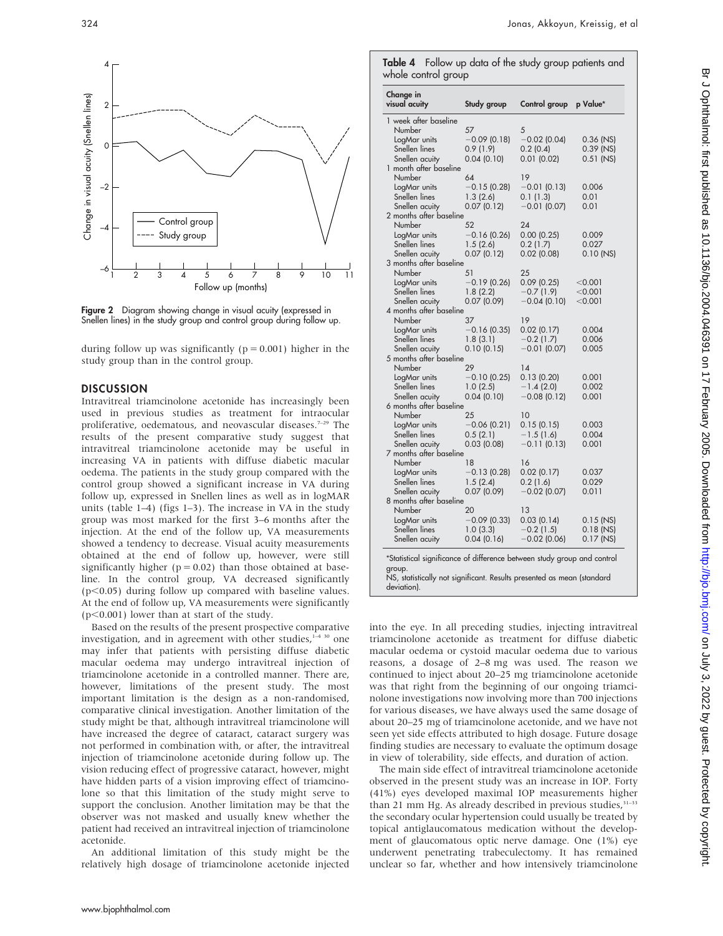

Figure 2 Diagram showing change in visual acuity (expressed in Snellen lines) in the study group and control group during follow up.

during follow up was significantly ( $p = 0.001$ ) higher in the study group than in the control group.

#### DISCUSSION

Intravitreal triamcinolone acetonide has increasingly been used in previous studies as treatment for intraocular proliferative, oedematous, and neovascular diseases.<sup>7-29</sup> The results of the present comparative study suggest that intravitreal triamcinolone acetonide may be useful in increasing VA in patients with diffuse diabetic macular oedema. The patients in the study group compared with the control group showed a significant increase in VA during follow up, expressed in Snellen lines as well as in logMAR units (table 1–4) (figs 1–3). The increase in VA in the study group was most marked for the first 3–6 months after the injection. At the end of the follow up, VA measurements showed a tendency to decrease. Visual acuity measurements obtained at the end of follow up, however, were still significantly higher ( $p = 0.02$ ) than those obtained at baseline. In the control group, VA decreased significantly  $(p<0.05)$  during follow up compared with baseline values. At the end of follow up, VA measurements were significantly  $(p<0.001)$  lower than at start of the study.

Based on the results of the present prospective comparative investigation, and in agreement with other studies, $1430$  one may infer that patients with persisting diffuse diabetic macular oedema may undergo intravitreal injection of triamcinolone acetonide in a controlled manner. There are, however, limitations of the present study. The most important limitation is the design as a non-randomised, comparative clinical investigation. Another limitation of the study might be that, although intravitreal triamcinolone will have increased the degree of cataract, cataract surgery was not performed in combination with, or after, the intravitreal injection of triamcinolone acetonide during follow up. The vision reducing effect of progressive cataract, however, might have hidden parts of a vision improving effect of triamcinolone so that this limitation of the study might serve to support the conclusion. Another limitation may be that the observer was not masked and usually knew whether the patient had received an intravitreal injection of triamcinolone acetonide.

An additional limitation of this study might be the relatively high dosage of triamcinolone acetonide injected

Table 4 Follow up data of the study group patients and whole control group

| Change in<br>visual acuity                                                                                                                                                                   | Study group            | Control group                 | p Value*       |
|----------------------------------------------------------------------------------------------------------------------------------------------------------------------------------------------|------------------------|-------------------------------|----------------|
| 1 week after baseline                                                                                                                                                                        |                        |                               |                |
| Number<br>57                                                                                                                                                                                 |                        | 5                             |                |
| LogMar units                                                                                                                                                                                 | $-0.09$ (0.18)         | $-0.02$ (0.04)                | 0.36 (NS)      |
| Snellen lines                                                                                                                                                                                | 0.9(1.9)               | 0.2(0.4)                      | 0.39 (NS)      |
| Snellen acuity<br>1 month after baseline                                                                                                                                                     | 0.04(0.10)             | $0.01$ (0.02)                 | $0.51$ (NS)    |
| Number<br>64                                                                                                                                                                                 |                        | 19                            |                |
| LogMar units                                                                                                                                                                                 | $-0.15(0.28)$          | $-0.01(0.13)$                 | 0.006          |
| Snellen lines                                                                                                                                                                                | 1.3(2.6)               | 0.1(1.3)                      | 0.01           |
| Snellen acuity                                                                                                                                                                               | 0.07(0.12)             | $-0.01$ (0.07)                | 0.01           |
| 2 months after baseline                                                                                                                                                                      |                        |                               |                |
| Number<br>52                                                                                                                                                                                 |                        | 24                            |                |
| LogMar units                                                                                                                                                                                 | $-0.16(0.26)$          | $0.00$ $(0.25)$               | 0.009          |
| Snellen lines                                                                                                                                                                                | 1.5(2.6)               | 0.2(1.7)                      | 0.027          |
| Snellen acuity                                                                                                                                                                               | 0.07(0.12)             | $0.02$ (0.08)                 | $0.10$ (NS)    |
| 3 months after baseline                                                                                                                                                                      |                        |                               |                |
| Number<br>51                                                                                                                                                                                 |                        | 25                            |                |
| LogMar units                                                                                                                                                                                 | $-0.19(0.26)$          | 0.09(0.25)                    | $<$ 0.001      |
| Snellen lines                                                                                                                                                                                | 1.8(2.2)               | $-0.7(1.9)$                   | $<$ 0.001      |
| Snellen acuity                                                                                                                                                                               | 0.07(0.09)             | $-0.04$ (0.10)                | < 0.001        |
| 4 months after baseline                                                                                                                                                                      |                        |                               |                |
| Number<br>37                                                                                                                                                                                 |                        | 19                            |                |
| LogMar units                                                                                                                                                                                 | $-0.16$ (0.35)         | 0.02(0.17)                    | 0.004          |
| Snellen lines                                                                                                                                                                                | 1.8(3.1)               | $-0.2$ (1.7)                  | 0.006          |
| Snellen acuity                                                                                                                                                                               | 0.10(0.15)             | $-0.01$ (0.07)                | 0.005          |
| 5 months after baseline                                                                                                                                                                      |                        |                               |                |
| Number<br>29                                                                                                                                                                                 |                        | 14                            |                |
| LogMar units                                                                                                                                                                                 | $-0.10$ (0.25)         | 0.13(0.20)                    | 0.001          |
| Snellen lines<br>Snellen acuity                                                                                                                                                              | 1.0(2.5)<br>0.04(0.10) | $-1.4(2.0)$<br>$-0.08$ (0.12) | 0.002<br>0.001 |
| 6 months after baseline                                                                                                                                                                      |                        |                               |                |
| 25<br>Number                                                                                                                                                                                 |                        | 10                            |                |
| LogMar units                                                                                                                                                                                 | $-0.06(0.21)$          | 0.15(0.15)                    | 0.003          |
| Snellen lines                                                                                                                                                                                | 0.5(2.1)               | $-1.5(1.6)$                   | 0.004          |
| Snellen acuity                                                                                                                                                                               | 0.03(0.08)             | $-0.11(0.13)$                 | 0.001          |
| 7 months after baseline                                                                                                                                                                      |                        |                               |                |
| Number<br>18                                                                                                                                                                                 |                        | 16                            |                |
| LogMar units                                                                                                                                                                                 | $-0.13(0.28)$          | 0.02(0.17)                    | 0.037          |
| Snellen lines                                                                                                                                                                                | 1.5(2.4)               | 0.2(1.6)                      | 0.029          |
| Snellen acuity                                                                                                                                                                               | 0.07(0.09)             | $-0.02$ (0.07)                | 0.011          |
| 8 months after baseline                                                                                                                                                                      |                        |                               |                |
| Number<br>20                                                                                                                                                                                 |                        | 13                            |                |
| LogMar units                                                                                                                                                                                 | $-0.09$ (0.33)         | 0.03(0.14)                    | $0.15$ (NS)    |
| Snellen lines                                                                                                                                                                                | 1.0(3.3)               | $-0.2$ (1.5)                  | $0.18$ (NS)    |
|                                                                                                                                                                                              |                        |                               | $0.17$ (NS)    |
| Snellen acuity<br>*Statistical significance of difference between study group and control<br>group.<br>NS, statistically not significant. Results presented as mean (standard<br>deviation). | 0.04(0.16)             | $-0.02$ (0.06)                |                |

into the eye. In all preceding studies, injecting intravitreal triamcinolone acetonide as treatment for diffuse diabetic macular oedema or cystoid macular oedema due to various reasons, a dosage of 2–8 mg was used. The reason we continued to inject about 20–25 mg triamcinolone acetonide was that right from the beginning of our ongoing triamcinolone investigations now involving more than 700 injections for various diseases, we have always used the same dosage of about 20–25 mg of triamcinolone acetonide, and we have not seen yet side effects attributed to high dosage. Future dosage finding studies are necessary to evaluate the optimum dosage in view of tolerability, side effects, and duration of action.

The main side effect of intravitreal triamcinolone acetonide observed in the present study was an increase in IOP. Forty (41%) eyes developed maximal IOP measurements higher than 21 mm Hg. As already described in previous studies, $31-33$ the secondary ocular hypertension could usually be treated by topical antiglaucomatous medication without the development of glaucomatous optic nerve damage. One (1%) eye underwent penetrating trabeculectomy. It has remained unclear so far, whether and how intensively triamcinolone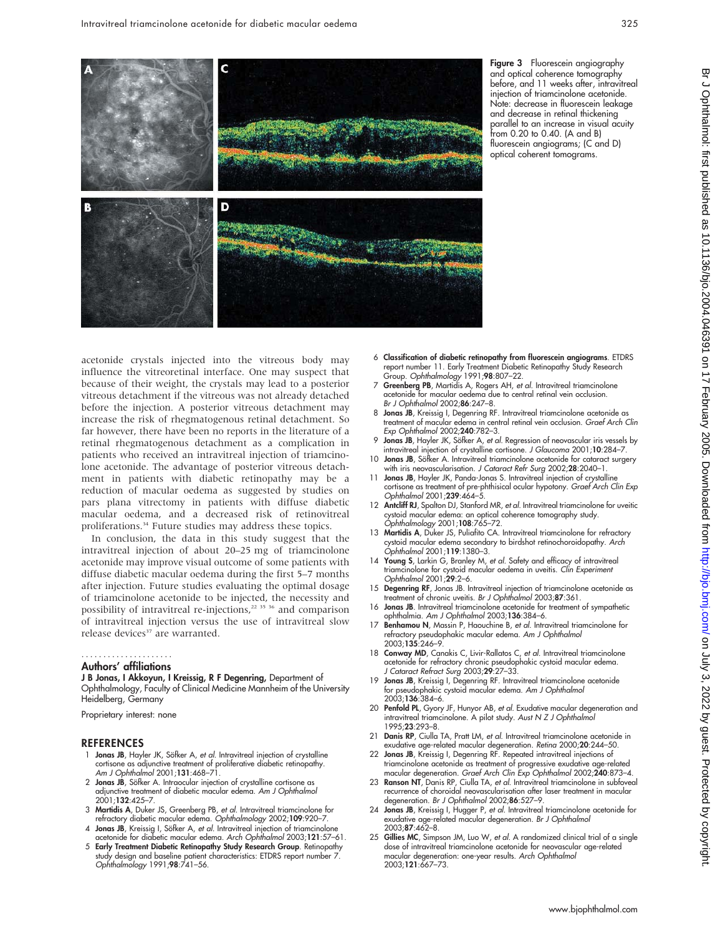

Figure 3 Fluorescein angiography and optical coherence tomography before, and 11 weeks after, intravitreal injection of triamcinolone acetonide. Note: decrease in fluorescein leakage and decrease in retinal thickening parallel to an increase in visual acuity from 0.20 to 0.40. (A and B) fluorescein angiograms; (C and D) optical coherent tomograms.

acetonide crystals injected into the vitreous body may influence the vitreoretinal interface. One may suspect that because of their weight, the crystals may lead to a posterior vitreous detachment if the vitreous was not already detached before the injection. A posterior vitreous detachment may increase the risk of rhegmatogenous retinal detachment. So far however, there have been no reports in the literature of a retinal rhegmatogenous detachment as a complication in patients who received an intravitreal injection of triamcinolone acetonide. The advantage of posterior vitreous detachment in patients with diabetic retinopathy may be a reduction of macular oedema as suggested by studies on pars plana vitrectomy in patients with diffuse diabetic macular oedema, and a decreased risk of retinovitreal proliferations.<sup>34</sup> Future studies may address these topics.

In conclusion, the data in this study suggest that the intravitreal injection of about 20–25 mg of triamcinolone acetonide may improve visual outcome of some patients with diffuse diabetic macular oedema during the first 5–7 months after injection. Future studies evaluating the optimal dosage of triamcinolone acetonide to be injected, the necessity and possibility of intravitreal re-injections,<sup>22 35</sup> <sup>36</sup> and comparison of intravitreal injection versus the use of intravitreal slow release devices<sup>37</sup> are warranted.

### .....................

#### Authors' affiliations

J B Jonas, I Akkoyun, I Kreissig, R F Degenring, Department of Ophthalmology, Faculty of Clinical Medicine Mannheim of the University Heidelberg, Germany

Proprietary interest: none

#### REFERENCES

- 1 Jonas JB, Hayler JK, Söfker A, et al. Intravitreal injection of crystalline cortisone as adjunctive treatment of proliferative diabetic retinopathy. Am J Ophthalmol 2001;131:468–71.
- 2 Jonas JB, Söfker A. Intraocular injection of crystalline cortisone as adjunctive treatment of diabetic macular edema. Am J Ophthalmol 2001;132:425–7.
- 3 Martidis A, Duker JS, Greenberg PB, et al. Intravitreal triamcinolone for refractory diabetic macular edema. Ophthalmology 2002;109:920–7.
- 4 Jonas JB, Kreissig I, Söfker A, et al. Intravitreal injection of triamcinolone acetonide for diabetic macular edema. Arch Ophthalmol 2003;121:57–61.
- 5 Early Treatment Diabetic Retinopathy Study Research Group. Retinopathy study design and baseline patient characteristics: ETDRS report number 7.<br>*Ophthalmology* 1991;**98**:741–56.
- 6 Classification of diabetic retinopathy from fluorescein angiograms. ETDRS report number 11. Early Treatment Diabetic Retinopathy Study Research Group. Ophthalmology 1991;98:807–22.
- 7 Greenberg PB, Martidis A, Rogers AH, et al. Intravitreal triamcinolone acetonide for macular oedema due to central retinal vein occlusion. Br J Ophthalmol 2002;86:247–8.
- 8 Jonas JB, Kreissig I, Degenring RF. Intravitreal triamcinolone acetonide as treatment of macular edema in central retinal vein occlusion. Graef Arch Clin Exp Ophthalmol 2002;240:782–3.
- 9 Jonas JB, Hayler JK, Söfker A, et al. Regression of neovascular iris vessels by intravitreal injection of crystalline cortisone. J Glaucoma 2001;10:284–7.
- 10 Jonas JB, Sötker A. Intravitreal triamcinolone acetonide for cataract surgery
- with iris neovascularisation. *J Cataract Refr Surg* 2002;**28**:2040–1.<br>11 **Jonas JB**, Hayler JK, Panda-Jonas S. Intravitreal injection of crystalline cortisone as treatment of pre-phthisical ocular hypotony. Graef Arch Clin Exp Ophthalmol 2001;239:464–5.
- 12 Antcliff RJ, Spalton DJ, Stanford MR, et al. Intravitreal triamcinolone for uveitic cystoid macular edema: an optical coherence tomography study. Ophthalmology 2001;108:765–72.
- 13 Martidis A, Duker JS, Puliafito CA. Intravitreal triamcinolone for refractory cystoid macular edema secondary to birdshot retinochoroidopathy. Arch Ophthalmol 2001;119:1380–3.
- 14 Young S, Larkin G, Branley M, et al. Safety and efficacy of intravitreal triamcinolone for cystoid macular oedema in uveitis. Clin Experiment Ophthalmol 2001;29:2–6.
- 15 Degenring RF, Jonas JB. Intravitreal injection of triamcinolone acetonide as treatment of chronic uveitis. Br J Ophthalmol 2003;87:361.
- 16 Jonas JB. Intravitreal triamcinolone acetonide for treatment of sympathetic ophthalmia. Am J Ophthalmol 2003;136:384–6.
- 17 Benhamou N, Massin P, Haouchine B, et al. Intravitreal triamcinolone for refractory pseudophakic macular edema. Am J Ophthalmol 2003;135:246–9.
- 18 Conway MD, Canakis C, Livir-Rallatos C, et al. Intravitreal triamcinolone acetonide for refractory chronic pseudophakic cystoid macular edema. J Cataract Refract Surg 2003;29:27–33.
- 19 Jonas JB, Kreissig I, Degenring RF. Intravitreal triamcinolone acetonide for pseudophakic cystoid macular edema. Am J Ophthalmol 2003;136:384–6.
- 20 Penfold PL, Gyory JF, Hunyor AB, et al. Exudative macular degeneration and intravitreal triamcinolone. A pilot study. Aust N Z J Ophthalmol 1995;23:293–8.
- Danis RP, Ciulla TA, Pratt LM, et al. Intravitreal triamcinolone acetonide in exudative age-related macular degeneration. Retina 2000;20:244–50.
- 22 Jonas JB, Kreissig I, Degenring RF. Repeated intravitreal injections of triamcinolone acetonide as treatment of progressive exudative age-related macular degeneration. Graef Arch Clin Exp Ophthalmol 2002;240:873-4.
- 23 Ranson NT, Danis RP, Ciulla TA, et al. Intravitreal triamcinolone in subfoveal recurrence of choroidal neovascularisation after laser treatment in macular degeneration. Br J Ophthalmol 2002;86:527-9
- 24 Jonas JB, Kreissig I, Hugger P, et al. Intravitreal triamcinolone acetonide for exudative age-related macular degeneration. Br J Ophthalmol 2003;87:462–8.
- 25 Gillies MC, Simpson JM, Luo W, et al. A randomized clinical trial of a single dose of intravitreal triamcinolone acetonide for neovascular age-related macular degeneration: one-year results. Arch Ophthalmol 2003;121:667–73.